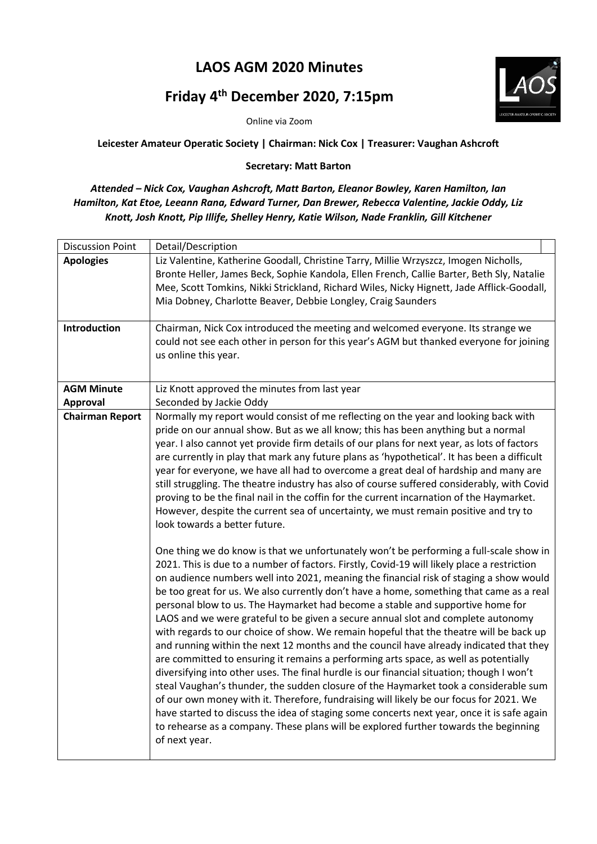## **LAOS AGM 2020 Minutes**

## **Friday 4th December 2020, 7:15pm**

Online via Zoom



## **Secretary: Matt Barton**

*Attended – Nick Cox, Vaughan Ashcroft, Matt Barton, Eleanor Bowley, Karen Hamilton, Ian Hamilton, Kat Etoe, Leeann Rana, Edward Turner, Dan Brewer, Rebecca Valentine, Jackie Oddy, Liz Knott, Josh Knott, Pip Illife, Shelley Henry, Katie Wilson, Nade Franklin, Gill Kitchener*

| <b>Discussion Point</b> | Detail/Description                                                                                                                                                                                                                                                                                                                                                                                                                                                                                                                                                                                                                                                                                                                                                                                                                                                                                                                                                                                                                                                                                                                                                                                                                                                                                                 |
|-------------------------|--------------------------------------------------------------------------------------------------------------------------------------------------------------------------------------------------------------------------------------------------------------------------------------------------------------------------------------------------------------------------------------------------------------------------------------------------------------------------------------------------------------------------------------------------------------------------------------------------------------------------------------------------------------------------------------------------------------------------------------------------------------------------------------------------------------------------------------------------------------------------------------------------------------------------------------------------------------------------------------------------------------------------------------------------------------------------------------------------------------------------------------------------------------------------------------------------------------------------------------------------------------------------------------------------------------------|
| <b>Apologies</b>        | Liz Valentine, Katherine Goodall, Christine Tarry, Millie Wrzyszcz, Imogen Nicholls,<br>Bronte Heller, James Beck, Sophie Kandola, Ellen French, Callie Barter, Beth Sly, Natalie<br>Mee, Scott Tomkins, Nikki Strickland, Richard Wiles, Nicky Hignett, Jade Afflick-Goodall,<br>Mia Dobney, Charlotte Beaver, Debbie Longley, Craig Saunders                                                                                                                                                                                                                                                                                                                                                                                                                                                                                                                                                                                                                                                                                                                                                                                                                                                                                                                                                                     |
| Introduction            | Chairman, Nick Cox introduced the meeting and welcomed everyone. Its strange we<br>could not see each other in person for this year's AGM but thanked everyone for joining<br>us online this year.                                                                                                                                                                                                                                                                                                                                                                                                                                                                                                                                                                                                                                                                                                                                                                                                                                                                                                                                                                                                                                                                                                                 |
| <b>AGM Minute</b>       | Liz Knott approved the minutes from last year                                                                                                                                                                                                                                                                                                                                                                                                                                                                                                                                                                                                                                                                                                                                                                                                                                                                                                                                                                                                                                                                                                                                                                                                                                                                      |
| Approval                | Seconded by Jackie Oddy                                                                                                                                                                                                                                                                                                                                                                                                                                                                                                                                                                                                                                                                                                                                                                                                                                                                                                                                                                                                                                                                                                                                                                                                                                                                                            |
| <b>Chairman Report</b>  | Normally my report would consist of me reflecting on the year and looking back with<br>pride on our annual show. But as we all know; this has been anything but a normal<br>year. I also cannot yet provide firm details of our plans for next year, as lots of factors<br>are currently in play that mark any future plans as 'hypothetical'. It has been a difficult<br>year for everyone, we have all had to overcome a great deal of hardship and many are<br>still struggling. The theatre industry has also of course suffered considerably, with Covid<br>proving to be the final nail in the coffin for the current incarnation of the Haymarket.<br>However, despite the current sea of uncertainty, we must remain positive and try to<br>look towards a better future.                                                                                                                                                                                                                                                                                                                                                                                                                                                                                                                                  |
|                         | One thing we do know is that we unfortunately won't be performing a full-scale show in<br>2021. This is due to a number of factors. Firstly, Covid-19 will likely place a restriction<br>on audience numbers well into 2021, meaning the financial risk of staging a show would<br>be too great for us. We also currently don't have a home, something that came as a real<br>personal blow to us. The Haymarket had become a stable and supportive home for<br>LAOS and we were grateful to be given a secure annual slot and complete autonomy<br>with regards to our choice of show. We remain hopeful that the theatre will be back up<br>and running within the next 12 months and the council have already indicated that they<br>are committed to ensuring it remains a performing arts space, as well as potentially<br>diversifying into other uses. The final hurdle is our financial situation; though I won't<br>steal Vaughan's thunder, the sudden closure of the Haymarket took a considerable sum<br>of our own money with it. Therefore, fundraising will likely be our focus for 2021. We<br>have started to discuss the idea of staging some concerts next year, once it is safe again<br>to rehearse as a company. These plans will be explored further towards the beginning<br>of next year. |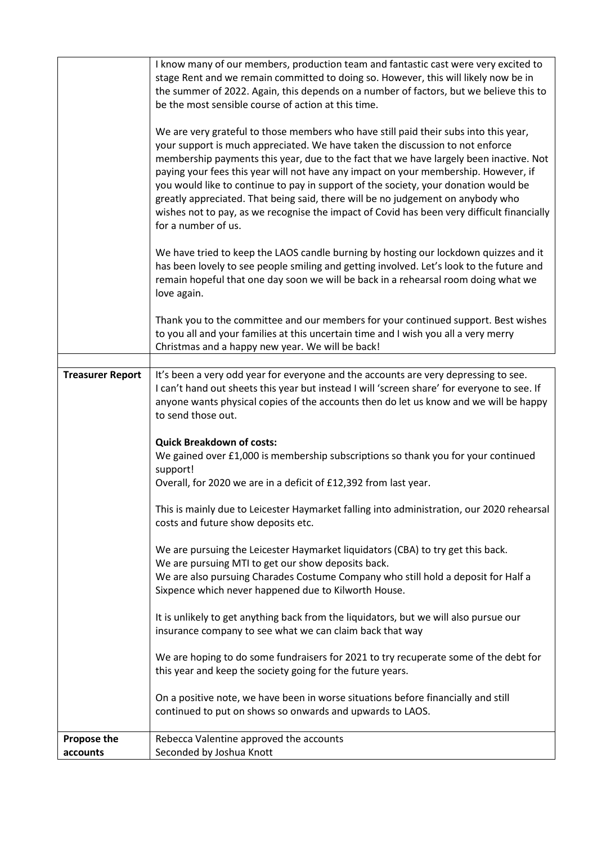|                         | I know many of our members, production team and fantastic cast were very excited to                                                       |
|-------------------------|-------------------------------------------------------------------------------------------------------------------------------------------|
|                         | stage Rent and we remain committed to doing so. However, this will likely now be in                                                       |
|                         | the summer of 2022. Again, this depends on a number of factors, but we believe this to                                                    |
|                         | be the most sensible course of action at this time.                                                                                       |
|                         | We are very grateful to those members who have still paid their subs into this year,                                                      |
|                         | your support is much appreciated. We have taken the discussion to not enforce                                                             |
|                         | membership payments this year, due to the fact that we have largely been inactive. Not                                                    |
|                         | paying your fees this year will not have any impact on your membership. However, if                                                       |
|                         | you would like to continue to pay in support of the society, your donation would be                                                       |
|                         | greatly appreciated. That being said, there will be no judgement on anybody who                                                           |
|                         | wishes not to pay, as we recognise the impact of Covid has been very difficult financially                                                |
|                         | for a number of us.                                                                                                                       |
|                         |                                                                                                                                           |
|                         | We have tried to keep the LAOS candle burning by hosting our lockdown quizzes and it                                                      |
|                         | has been lovely to see people smiling and getting involved. Let's look to the future and                                                  |
|                         | remain hopeful that one day soon we will be back in a rehearsal room doing what we                                                        |
|                         | love again.                                                                                                                               |
|                         | Thank you to the committee and our members for your continued support. Best wishes                                                        |
|                         | to you all and your families at this uncertain time and I wish you all a very merry                                                       |
|                         | Christmas and a happy new year. We will be back!                                                                                          |
|                         |                                                                                                                                           |
| <b>Treasurer Report</b> | It's been a very odd year for everyone and the accounts are very depressing to see.                                                       |
|                         | I can't hand out sheets this year but instead I will 'screen share' for everyone to see. If                                               |
|                         | anyone wants physical copies of the accounts then do let us know and we will be happy                                                     |
|                         | to send those out.                                                                                                                        |
|                         |                                                                                                                                           |
|                         | <b>Quick Breakdown of costs:</b><br>We gained over £1,000 is membership subscriptions so thank you for your continued                     |
|                         | support!                                                                                                                                  |
|                         | Overall, for 2020 we are in a deficit of £12,392 from last year.                                                                          |
|                         |                                                                                                                                           |
|                         | This is mainly due to Leicester Haymarket falling into administration, our 2020 rehearsal                                                 |
|                         | costs and future show deposits etc.                                                                                                       |
|                         |                                                                                                                                           |
|                         | We are pursuing the Leicester Haymarket liquidators (CBA) to try get this back.                                                           |
|                         | We are pursuing MTI to get our show deposits back.                                                                                        |
|                         | We are also pursuing Charades Costume Company who still hold a deposit for Half a<br>Sixpence which never happened due to Kilworth House. |
|                         |                                                                                                                                           |
|                         | It is unlikely to get anything back from the liquidators, but we will also pursue our                                                     |
|                         | insurance company to see what we can claim back that way                                                                                  |
|                         |                                                                                                                                           |
|                         | We are hoping to do some fundraisers for 2021 to try recuperate some of the debt for                                                      |
|                         | this year and keep the society going for the future years.                                                                                |
|                         |                                                                                                                                           |
|                         | On a positive note, we have been in worse situations before financially and still                                                         |
|                         |                                                                                                                                           |
|                         | continued to put on shows so onwards and upwards to LAOS.                                                                                 |
| <b>Propose the</b>      | Rebecca Valentine approved the accounts                                                                                                   |